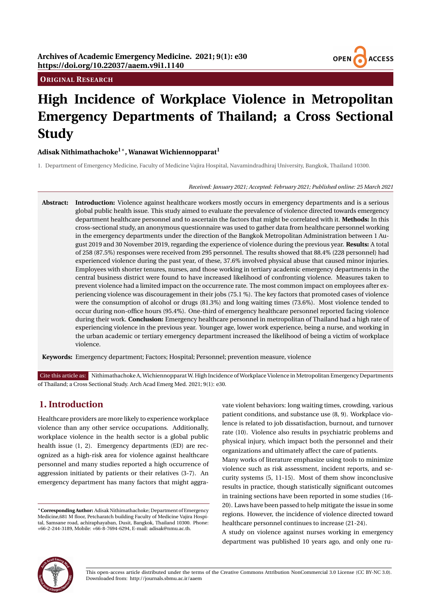## **ORIGINAL RESEARCH**



# **High Incidence of Workplace Violence in Metropolitan Emergency Departments of Thailand; a Cross Sectional Study**

## **Adisak Nithimathachoke1**<sup>∗</sup> **, Wanawat Wichiennopparat<sup>1</sup>**

1. Department of Emergency Medicine, Faculty of Medicine Vajira Hospital, Navamindradhiraj University, Bangkok, Thailand 10300.

#### *Received: January 2021; Accepted: February 2021; Published online: 25 March 2021*

**Abstract: Introduction:** Violence against healthcare workers mostly occurs in emergency departments and is a serious global public health issue. This study aimed to evaluate the prevalence of violence directed towards emergency department healthcare personnel and to ascertain the factors that might be correlated with it. **Methods:** In this cross-sectional study, an anonymous questionnaire was used to gather data from healthcare personnel working in the emergency departments under the direction of the Bangkok Metropolitan Administration between 1 August 2019 and 30 November 2019, regarding the experience of violence during the previous year. **Results:** A total of 258 (87.5%) responses were received from 295 personnel. The results showed that 88.4% (228 personnel) had experienced violence during the past year, of these, 37.6% involved physical abuse that caused minor injuries. Employees with shorter tenures, nurses, and those working in tertiary academic emergency departments in the central business district were found to have increased likelihood of confronting violence. Measures taken to prevent violence had a limited impact on the occurrence rate. The most common impact on employees after experiencing violence was discouragement in their jobs (75.1 %). The key factors that promoted cases of violence were the consumption of alcohol or drugs (81.3%) and long waiting times (73.6%). Most violence tended to occur during non-office hours (95.4%). One-third of emergency healthcare personnel reported facing violence during their work. **Conclusion:** Emergency healthcare personnel in metropolitan of Thailand had a high rate of experiencing violence in the previous year. Younger age, lower work experience, being a nurse, and working in the urban academic or tertiary emergency department increased the likelihood of being a victim of workplace violence.

**Keywords:** Emergency department; Factors; Hospital; Personnel; prevention measure, violence

Cite this article as: Nithimathachoke A, Wichiennopparat W. High Incidence of Workplace Violence in Metropolitan Emergency Departments of Thailand; a Cross Sectional Study. Arch Acad Emerg Med. 2021; 9(1): e30.

## **1. Introduction**

Healthcare providers are more likely to experience workplace violence than any other service occupations. Additionally, workplace violence in the health sector is a global public health issue (1, 2). Emergency departments (ED) are recognized as a high-risk area for violence against healthcare personnel and many studies reported a high occurrence of aggression initiated by patients or their relatives (3-7). An emergency department has many factors that might aggravate violent behaviors: long waiting times, crowding, various patient conditions, and substance use (8, 9). Workplace violence is related to job dissatisfaction, burnout, and turnover rate (10). Violence also results in psychiatric problems and physical injury, which impact both the personnel and their organizations and ultimately affect the care of patients.

Many works of literature emphasize using tools to minimize violence such as risk assessment, incident reports, and security systems (5, 11-15). Most of them show inconclusive results in practice, though statistically significant outcomes in training sections have been reported in some studies (16- 20). Laws have been passed to help mitigate the issue in some regions. However, the incidence of violence directed toward healthcare personnel continues to increase (21-24).

A study on violence against nurses working in emergency department was published 10 years ago, and only one ru-



This open-access article distributed under the terms of the Creative Commons Attribution NonCommercial 3.0 License (CC BY-NC 3.0). Downloaded from: http://journals.sbmu.ac.ir/aaem

<sup>∗</sup>**Corresponding Author:** Adisak Nithimathachoke; Department of Emergency Medicine,681 M floor, Petcharatch building Faculty of Medicine Vajira Hospital, Samsane road, achiraphayaban, Dusit, Bangkok, Thailand 10300. Phone: +66-2-244-3189, Mobile: +66-8-7694-6294, E-mail: adisak@nmu.ac.th.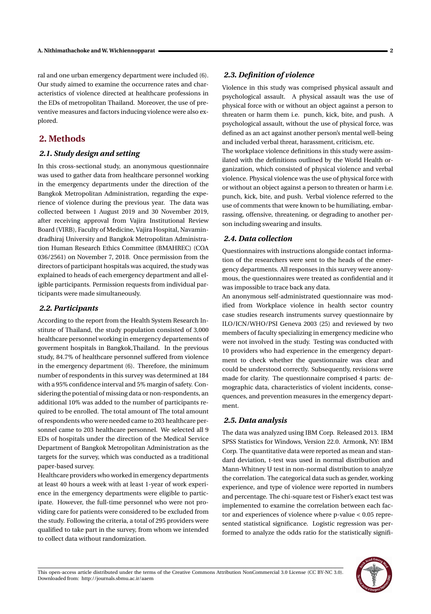ral and one urban emergency department were included (6). Our study aimed to examine the occurrence rates and characteristics of violence directed at healthcare professions in the EDs of metropolitan Thailand. Moreover, the use of preventive measures and factors inducing violence were also explored.

## **2. Methods**

#### *2.1. Study design and setting*

In this cross-sectional study, an anonymous questionnaire was used to gather data from healthcare personnel working in the emergency departments under the direction of the Bangkok Metropolitan Administration, regarding the experience of violence during the previous year. The data was collected between 1 August 2019 and 30 November 2019, after receiving approval from Vajira Institutional Review Board (VIRB), Faculty of Medicine, Vajira Hospital, Navamindradhiraj University and Bangkok Metropolitan Administration Human Research Ethics Committee (BMAHREC) (COA 036/2561) on November 7, 2018. Once permission from the directors of participant hospitals was acquired, the study was explained to heads of each emergency department and all eligible participants. Permission requests from individual participants were made simultaneously.

#### *2.2. Participants*

According to the report from the Health System Research Institute of Thailand, the study population consisted of 3,000 healthcare personnel working in emergency departements of goverment hospitals in Bangkok,Thailand. In the previous study, 84.7% of healthcare personnel suffered from violence in the emergency department (6). Therefore, the minimum number of respondents in this survey was determined at 184 with a 95% confidence interval and 5% margin of safety. Considering the potential of missing data or non-respondents, an additional 10% was added to the number of participants required to be enrolled. The total amount of The total amount of respondents who were needed came to 203 healthcare personnel came to 203 healthcare personnel. We selected all 9 EDs of hospitals under the direction of the Medical Service Department of Bangkok Metropolitan Administration as the targets for the survey, which was conducted as a traditional paper-based survey.

Healthcare providers who worked in emergency departments at least 40 hours a week with at least 1-year of work experience in the emergency departments were eligible to participate. However, the full-time personnel who were not providing care for patients were considered to be excluded from the study. Following the criteria, a total of 295 providers were qualified to take part in the survey, from whom we intended to collect data without randomization.

#### *2.3. Definition of violence*

Violence in this study was comprised physical assault and psychological assault. A physical assault was the use of physical force with or without an object against a person to threaten or harm them i.e. punch, kick, bite, and push. A psychological assault, without the use of physical force, was defined as an act against another person's mental well-being and included verbal threat, harassment, criticism, etc.

The workplace violence definitions in this study were assimilated with the definitions outlined by the World Health organization, which consisted of physical violence and verbal violence. Physical violence was the use of physical force with or without an object against a person to threaten or harm i.e. punch, kick, bite, and push. Verbal violence referred to the use of comments that were known to be humiliating, embarrassing, offensive, threatening, or degrading to another person including swearing and insults.

#### *2.4. Data collection*

Questionnaires with instructions alongside contact information of the researchers were sent to the heads of the emergency departments. All responses in this survey were anonymous, the questionnaires were treated as confidential and it was impossible to trace back any data.

An anonymous self-administrated questionnaire was modified from Workplace violence in health sector country case studies research instruments survey questionnaire by ILO/ICN/WHO/PSI Geneva 2003 (25) and reviewed by two members of faculty specializing in emergency medicine who were not involved in the study. Testing was conducted with 10 providers who had experience in the emergency department to check whether the questionnaire was clear and could be understood correctly. Subsequently, revisions were made for clarity. The questionnaire comprised 4 parts: demographic data, characteristics of violent incidents, consequences, and prevention measures in the emergency department.

## *2.5. Data analysis*

The data was analyzed using IBM Corp. Released 2013. IBM SPSS Statistics for Windows, Version 22.0. Armonk, NY: IBM Corp. The quantitative data were reported as mean and standard deviation, t-test was used in normal distribution and Mann-Whitney U test in non-normal distribution to analyze the correlation. The categorical data such as gender, working experience, and type of violence were reported in numbers and percentage. The chi-square test or Fisher's exact test was implemented to examine the correlation between each factor and experiences of violence where p-value < 0.05 represented statistical significance. Logistic regression was performed to analyze the odds ratio for the statistically signifi-

This open-access article distributed under the terms of the Creative Commons Attribution NonCommercial 3.0 License (CC BY-NC 3.0). Downloaded from: http://journals.sbmu.ac.ir/aaem

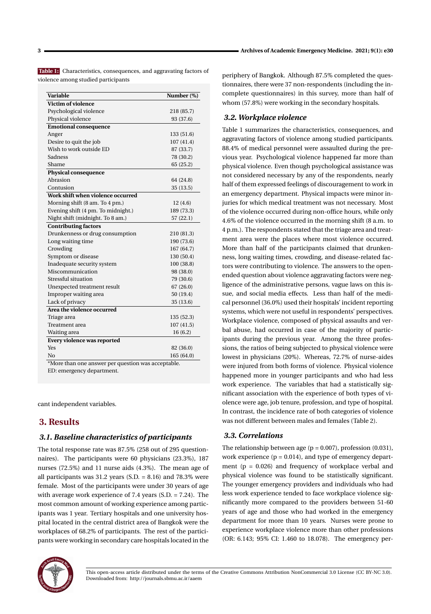**Table 1:** Characteristics, consequences, and aggravating factors of violence among studied participants

| Variable                           | Number (%) |
|------------------------------------|------------|
| Victim of violence                 |            |
| Psychological violence             | 218 (85.7) |
| Physical violence                  | 93 (37.6)  |
| <b>Emotional consequence</b>       |            |
| Anger                              | 133 (51.6) |
| Desire to quit the job             | 107 (41.4) |
| Wish to work outside ED            | 87 (33.7)  |
| Sadness                            | 78 (30.2)  |
| Shame                              | 65 (25.2)  |
| <b>Physical consequence</b>        |            |
| Abrasion                           | 64 (24.8)  |
| Contusion                          | 35 (13.5)  |
| Work shift when violence occurred  |            |
| Morning shift (8 am. To 4 pm.)     | 12(4.6)    |
| Evening shift (4 pm. To midnight.) | 189 (73.3) |
| Night shift (midnight. To 8 am.)   | 57(22.1)   |
| <b>Contributing factors</b>        |            |
| Drunkenness or drug consumption    | 210 (81.3) |
| Long waiting time                  | 190 (73.6) |
| Crowding                           | 167 (64.7) |
| Symptom or disease                 | 130 (50.4) |
| Inadequate security system         | 100 (38.8) |
| Miscommunication                   | 98 (38.0)  |
| Stressful situation                | 79 (30.6)  |
| Unexpected treatment result        | 67(26.0)   |
| Improper waiting area              | 50 (19.4)  |
| Lack of privacy                    | 35 (13.6)  |
| Area the violence occurred         |            |
| Triage area                        | 135 (52.3) |
| Treatment area                     | 107(41.5)  |
| Waiting area                       | 16 (6.2)   |
| Every violence was reported        |            |
| Yes                                | 82 (36.0)  |
| No                                 | 165 (64.0) |

Aore than one answer per question was acceptable

ED: emergency department.

cant independent variables.

## **3. Results**

#### *3.1. Baseline characteristics of participants*

The total response rate was 87.5% (258 out of 295 questionnaires). The participants were 60 physicians (23.3%), 187 nurses (72.5%) and 11 nurse aids (4.3%). The mean age of all participants was  $31.2$  years (S.D. = 8.16) and  $78.3\%$  were female. Most of the participants were under 30 years of age with average work experience of 7.4 years (S.D. = 7.24). The most common amount of working experience among participants was 1 year. Tertiary hospitals and one university hospital located in the central district area of Bangkok were the workplaces of 68.2% of participants. The rest of the participants were working in secondary care hospitals located in the



#### *3.2. Workplace violence*

Table 1 summarizes the characteristics, consequences, and aggravating factors of violence among studied participants. 88.4% of medical personnel were assaulted during the previous year. Psychological violence happened far more than physical violence. Even though psychological assistance was not considered necessary by any of the respondents, nearly half of them expressed feelings of discouragement to work in an emergency department. Physical impacts were minor injuries for which medical treatment was not necessary. Most of the violence occurred during non-office hours, while only 4.6% of the violence occurred in the morning shift (8 a.m. to 4 p.m.). The respondents stated that the triage area and treatment area were the places where most violence occurred. More than half of the participants claimed that drunkenness, long waiting times, crowding, and disease-related factors were contributing to violence. The answers to the openended question about violence aggravating factors were negligence of the administrative persons, vague laws on this issue, and social media effects. Less than half of the medical personnel (36.0%) used their hospitals' incident reporting systems, which were not useful in respondents' perspectives. Workplace violence, composed of physical assaults and verbal abuse, had occurred in case of the majority of participants during the previous year. Among the three professions, the ratios of being subjected to physical violence were lowest in physicians (20%). Whereas, 72.7% of nurse-aides were injured from both forms of violence. Physical violence happened more in younger participants and who had less work experience. The variables that had a statistically significant association with the experience of both types of violence were age, job tenure, profession, and type of hospital. In contrast, the incidence rate of both categories of violence was not different between males and females (Table 2).

#### *3.3. Correlations*

The relationship between age ( $p = 0.007$ ), profession (0.031), work experience  $(p = 0.014)$ , and type of emergency department ( $p = 0.026$ ) and frequency of workplace verbal and physical violence was found to be statistically significant. The younger emergency providers and individuals who had less work experience tended to face workplace violence significantly more compared to the providers between 51-60 years of age and those who had worked in the emergency department for more than 10 years. Nurses were prone to experience workplace violence more than other professions (OR: 6.143; 95% CI: 1.460 to 18.078). The emergency per-

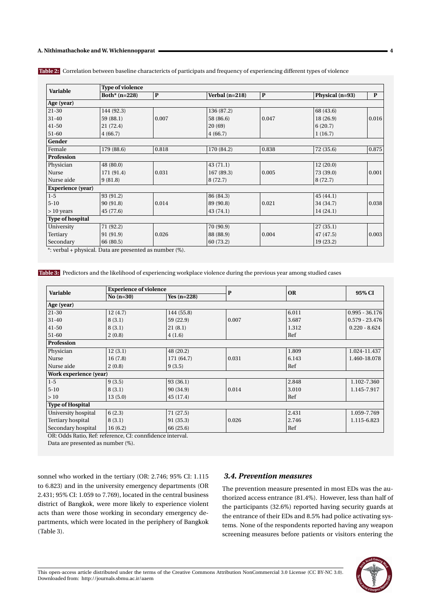| Variable                 | <b>Type of violence</b> |              |                  |              |                 |              |  |  |
|--------------------------|-------------------------|--------------|------------------|--------------|-----------------|--------------|--|--|
|                          | Both* $(n=228)$         | $\mathbf{P}$ | Verbal $(n=218)$ | $\mathbf{P}$ | Physical (n=93) | $\mathbf{P}$ |  |  |
| Age (year)               |                         |              |                  |              |                 |              |  |  |
| $21-30$                  | 144 (92.3)              |              | 136 (87.2)       |              | 68 (43.6)       |              |  |  |
| $31 - 40$                | 59 (88.1)               | 0.007        | 58 (86.6)        | 0.047        | 18 (26.9)       | 0.016        |  |  |
| $41 - 50$                | 21 (72.4)               |              | 20(69)           |              | 6(20.7)         |              |  |  |
| 51-60                    | 4(66.7)                 |              | 4(66.7)          |              | 1(16.7)         |              |  |  |
| Gender                   |                         |              |                  |              |                 |              |  |  |
| Female                   | 179 (88.6)              | 0.818        | 170 (84.2)       | 0.838        | 72 (35.6)       | 0.875        |  |  |
| <b>Profession</b>        |                         |              |                  |              |                 |              |  |  |
| Physician                | 48 (80.0)               |              | 43(71.1)         |              | 12(20.0)        |              |  |  |
| Nurse                    | 171 (91.4)              | 0.031        | 167 (89.3)       | 0.005        | 73 (39.0)       | 0.001        |  |  |
| Nurse aide               | 9(81.8)                 |              | 8 (72.7)         |              | 8(72.7)         |              |  |  |
| <b>Experience</b> (year) |                         |              |                  |              |                 |              |  |  |
| $1-5$                    | 93 (91.2)               |              | 86 (84.3)        |              | 45(44.1)        |              |  |  |
| $5 - 10$                 | 90 (91.8)               | 0.014        | 89 (90.8)        | 0.021        | 34 (34.7)       | 0.038        |  |  |
| $>10$ years              | 45 (77.6)               |              | 43(74.1)         |              | 14(24.1)        |              |  |  |
| <b>Type of hospital</b>  |                         |              |                  |              |                 |              |  |  |
| University               | 71 (92.2)               |              | 70 (90.9)        |              | 27(35.1)        |              |  |  |
| Tertiary                 | 91 (91.9)               | 0.026        | 88 (88.9)        | 0.004        | 47 (47.5)       | 0.003        |  |  |
| Secondary                | 66 (80.5)               |              | 60 (73.2)        |              | 19 (23.2)       |              |  |  |

**Table 2:** Correlation between baseline charactericts of participats and frequency of experiencing different types of violence

\*: verbal + physical. Data are presented as number (%).

**Table 3:** Predictors and the likelihood of experiencing workplace violence during the previous year among studied cases

| Variable               | <b>Experience of violence</b> |               |       |       |                  |
|------------------------|-------------------------------|---------------|-------|-------|------------------|
|                        | No $(n=30)$                   | Yes $(n=228)$ | P     | OR    | 95% CI           |
| Age (year)             |                               |               |       |       |                  |
| 21-30                  | 12(4.7)                       | 144 (55.8)    |       | 6.011 | $0.995 - 36.176$ |
| $31-40$                | 8(3.1)                        | 59 (22.9)     | 0.007 | 3.687 | $0.579 - 23.476$ |
| $41 - 50$              | 8(3.1)                        | 21(8.1)       |       | 1.312 | $0.220 - 8.624$  |
| 51-60                  | 2(0.8)                        | 4(1.6)        |       | Ref   |                  |
| Profession             |                               |               |       |       |                  |
| Physician              | 12(3.1)                       | 48 (20.2)     |       | 1.809 | 1.024-11.437     |
| Nurse                  | 16(7.8)                       | 171 (64.7)    | 0.031 | 6.143 | 1.460-18.078     |
| Nurse aide             | 2(0.8)                        | 9(3.5)        |       | Ref   |                  |
| Work experience (year) |                               |               |       |       |                  |
| $1-5$                  | 9(3.5)                        | 93 (36.1)     |       | 2.848 | 1.102-7.360      |
| $5 - 10$               | 8(3.1)                        | 90 (34.9)     | 0.014 | 3.010 | 1.145-7.917      |
| >10                    | 13(5.0)                       | 45 (17.4)     |       | Ref   |                  |
| Type of Hospital       |                               |               |       |       |                  |
| University hospital    | 6(2.3)                        | 71 (27.5)     |       | 2.431 | 1.059-7.769      |
| Tertiary hospital      | 8(3.1)                        | 91 (35.3)     | 0.026 | 2.746 | 1.115-6.823      |
| Secondary hospital     | 16(6.2)                       | 66 (25.6)     |       | Ref   |                  |

OR: Odds Ratio, Ref: reference, CI: connfidence interval.

Data are presented as number (%).

sonnel who worked in the tertiary (OR: 2.746; 95% CI: 1.115 to 6.823) and in the university emergency departments (OR 2.431; 95% CI: 1.059 to 7.769), located in the central business district of Bangkok, were more likely to experience violent acts than were those working in secondary emergency departments, which were located in the periphery of Bangkok (Table 3).

#### *3.4. Prevention measures*

The prevention measure presented in most EDs was the authorized access entrance (81.4%). However, less than half of the participants (32.6%) reported having security guards at the entrance of their EDs and 8.5% had police activating systems. None of the respondents reported having any weapon screening measures before patients or visitors entering the

This open-access article distributed under the terms of the Creative Commons Attribution NonCommercial 3.0 License (CC BY-NC 3.0). Downloaded from: http://journals.sbmu.ac.ir/aaem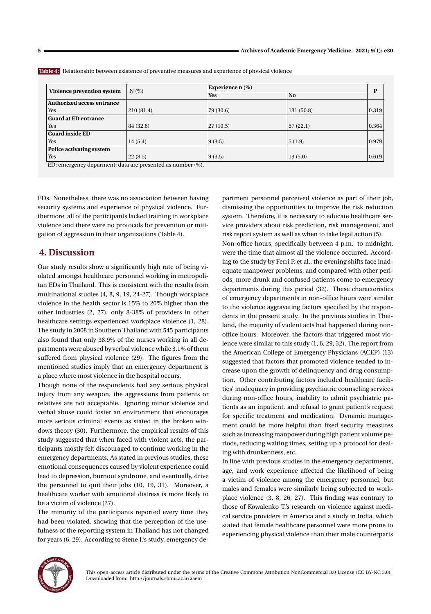| N(%)       |            | Experience n (%) |       |
|------------|------------|------------------|-------|
|            | <b>Yes</b> | <b>No</b>        | P     |
|            |            |                  |       |
| 210 (81.4) | 79 (30.6)  | 131(50.8)        | 0.319 |
|            |            |                  |       |
| 84 (32.6)  | 27(10.5)   | 57(22.1)         | 0.364 |
|            |            |                  |       |
| 14(5.4)    | 9(3.5)     | 5(1.9)           | 0.979 |
|            |            |                  |       |
| 22(8.5)    | 9(3.5)     | 13(5.0)          | 0.619 |
|            |            |                  |       |

**Table 4:** Relationship between existence of preventive measures and experience of physical violence

ED: emergency deparment; data are presented as number (%).

EDs. Nonetheless, there was no association between having security systems and experience of physical violence. Furthermore, all of the participants lacked training in workplace violence and there were no protocols for prevention or mitigation of aggression in their organizations (Table 4).

## **4. Discussion**

Our study results show a significantly high rate of being violated amongst healthcare personnel working in metropolitan EDs in Thailand. This is consistent with the results from multinational studies (4, 8, 9, 19, 24-27). Though workplace violence in the health sector is 15% to 20% higher than the other industries (2, 27), only 8-38% of providers in other healthcare settings experienced workplace violence (1, 28). The study in 2008 in Southern Thailand with 545 participants also found that only 38.9% of the nurses working in all departments were abused by verbal violence while 3.1% of them suffered from physical violence (29). The figures from the mentioned studies imply that an emergency department is a place where most violence in the hospital occurs.

Though none of the respondents had any serious physical injury from any weapon, the aggressions from patients or relatives are not acceptable. Ignoring minor violence and verbal abuse could foster an environment that encourages more serious criminal events as stated in the broken windows theory (30). Furthermore, the empirical results of this study suggested that when faced with violent acts, the participants mostly felt discouraged to continue working in the emergency departments. As stated in previous studies, these emotional consequences caused by violent experience could lead to depression, burnout syndrome, and eventually, drive the personnel to quit their jobs (10, 19, 31). Moreover, a healthcare worker with emotional distress is more likely to be a victim of violence (27).

The minority of the participants reported every time they had been violated, showing that the perception of the usefulness of the reporting system in Thailand has not changed for years (6, 29). According to Stene J.'s study, emergency department personnel perceived violence as part of their job, dismissing the opportunities to improve the risk reduction system. Therefore, it is necessary to educate healthcare service providers about risk prediction, risk management, and risk report system as well as when to take legal action (5).

Non-office hours, specifically between 4 p.m. to midnight, were the time that almost all the violence occurred. According to the study by Ferri P. et al., the evening shifts face inadequate manpower problems; and compared with other periods, more drunk and confused patients come to emergency departments during this period (32). These characteristics of emergency departments in non-office hours were similar to the violence aggravating factors specified by the respondents in the present study. In the previous studies in Thailand, the majority of violent acts had happened during nonoffice hours. Moreover, the factors that triggered most violence were similar to this study (1, 6, 29, 32). The report from the American College of Emergency Physicians (ACEP) (13) suggested that factors that promoted violence tended to increase upon the growth of delinquency and drug consumption. Other contributing factors included healthcare facilities' inadequacy in providing psychiatric counseling services during non-office hours, inability to admit psychiatric patients as an inpatient, and refusal to grant patient's request for specific treatment and medication. Dynamic management could be more helpful than fixed security measures such as increasing manpower during high patient volume periods, reducing waiting times, setting up a protocol for dealing with drunkenness, etc.

In line with previous studies in the emergency departments, age, and work experience affected the likelihood of being a victim of violence among the emergency personnel, but males and females were similarly being subjected to workplace violence (3, 8, 26, 27). This finding was contrary to those of Kowalenko T.'s research on violence against medical service providers in America and a study in India, which stated that female healthcare personnel were more prone to experiencing physical violence than their male counterparts

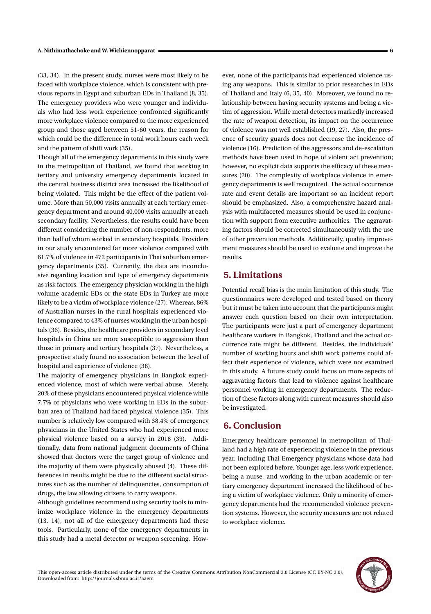(33, 34). In the present study, nurses were most likely to be faced with workplace violence, which is consistent with previous reports in Egypt and suburban EDs in Thailand (8, 35). The emergency providers who were younger and individuals who had less work experience confronted significantly more workplace violence compared to the more experienced group and those aged between 51-60 years, the reason for which could be the difference in total work hours each week and the pattern of shift work (35).

Though all of the emergency departments in this study were in the metropolitan of Thailand, we found that working in tertiary and university emergency departments located in the central business district area increased the likelihood of being violated. This might be the effect of the patient volume. More than 50,000 visits annually at each tertiary emergency department and around 40,000 visits annually at each secondary facility. Nevertheless, the results could have been different considering the number of non-respondents, more than half of whom worked in secondary hospitals. Providers in our study encountered far more violence compared with 61.7% of violence in 472 participants in Thai suburban emergency departments (35). Currently, the data are inconclusive regarding location and type of emergency departments as risk factors. The emergency physician working in the high volume academic EDs or the state EDs in Turkey are more likely to be a victim of workplace violence (27). Whereas, 86% of Australian nurses in the rural hospitals experienced violence compared to 43% of nurses working in the urban hospitals (36). Besides, the healthcare providers in secondary level hospitals in China are more susceptible to aggression than those in primary and tertiary hospitals (37). Nevertheless, a prospective study found no association between the level of hospital and experience of violence (38).

The majority of emergency physicians in Bangkok experienced violence, most of which were verbal abuse. Merely, 20% of these physicians encountered physical violence while 7.7% of physicians who were working in EDs in the suburban area of Thailand had faced physical violence (35). This number is relatively low compared with 38.4% of emergency physicians in the United States who had experienced more physical violence based on a survey in 2018 (39). Additionally, data from national judgment documents of China showed that doctors were the target group of violence and the majority of them were physically abused (4). These differences in results might be due to the different social structures such as the number of delinquencies, consumption of drugs, the law allowing citizens to carry weapons.

Although guidelines recommend using security tools to minimize workplace violence in the emergency departments (13, 14), not all of the emergency departments had these tools. Particularly, none of the emergency departments in this study had a metal detector or weapon screening. How-

ever, none of the participants had experienced violence using any weapons. This is similar to prior researches in EDs of Thailand and Italy (6, 35, 40). Moreover, we found no relationship between having security systems and being a victim of aggression. While metal detectors markedly increased the rate of weapon detection, its impact on the occurrence of violence was not well established (19, 27). Also, the presence of security guards does not decrease the incidence of violence (16). Prediction of the aggressors and de-escalation methods have been used in hope of violent act prevention; however, no explicit data supports the efficacy of these measures (20). The complexity of workplace violence in emergency departments is well recognized. The actual occurrence rate and event details are important so an incident report should be emphasized. Also, a comprehensive hazard analysis with multifaceted measures should be used in conjunction with support from executive authorities. The aggravating factors should be corrected simultaneously with the use of other prevention methods. Additionally, quality improvement measures should be used to evaluate and improve the results.

## **5. Limitations**

Potential recall bias is the main limitation of this study. The questionnaires were developed and tested based on theory but it must be taken into account that the participants might answer each question based on their own interpretation. The participants were just a part of emergency department healthcare workers in Bangkok, Thailand and the actual occurrence rate might be different. Besides, the individuals' number of working hours and shift work patterns could affect their experience of violence, which were not examined in this study. A future study could focus on more aspects of aggravating factors that lead to violence against healthcare personnel working in emergency departments. The reduction of these factors along with current measures should also be investigated.

## **6. Conclusion**

Emergency healthcare personnel in metropolitan of Thailand had a high rate of experiencing violence in the previous year, including Thai Emergency physicians whose data had not been explored before. Younger age, less work experience, being a nurse, and working in the urban academic or tertiary emergency department increased the likelihood of being a victim of workplace violence. Only a minority of emergency departments had the recommended violence prevention systems. However, the security measures are not related to workplace violence.



This open-access article distributed under the terms of the Creative Commons Attribution NonCommercial 3.0 License (CC BY-NC 3.0). Downloaded from: http://journals.sbmu.ac.ir/aaem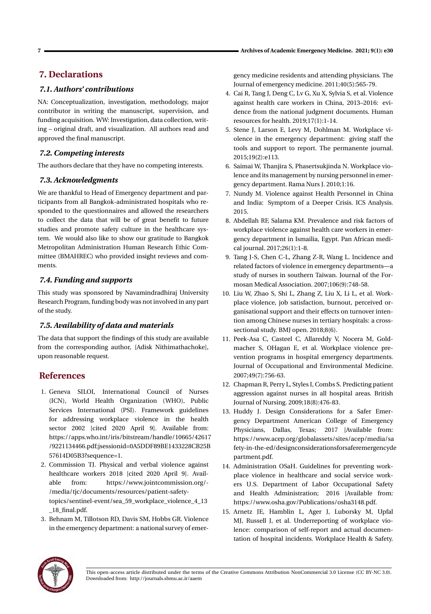# **7. Declarations**

## *7.1. Authors' contributions*

NA: Conceptualization, investigation, methodology, major contributor in writing the manuscript, supervision, and funding acquisition. WW: Investigation, data collection, writing – original draft, and visualization. All authors read and approved the final manuscript.

## *7.2. Competing interests*

The authors declare that they have no competing interests.

## *7.3. Acknowledgments*

We are thankful to Head of Emergency department and participants from all Bangkok-administrated hospitals who responded to the questionnaires and allowed the researchers to collect the data that will be of great benefit to future studies and promote safety culture in the healthcare system. We would also like to show our gratitude to Bangkok Metropolitan Administration Human Research Ethic Committee (BMAHREC) who provided insight reviews and comments.

## *7.4. Funding and supports*

This study was sponsored by Navamindradhiraj University Research Program, funding body was not involved in any part of the study.

## *7.5. Availability of data and materials*

The data that support the findings of this study are available from the corresponding author, [Adisk Nithimathachoke], upon reasonable request.

## **References**

- 1. Geneva SILOI, International Council of Nurses (ICN), World Health Organization (WHO), Public Services International (PSI). Framework guidelines for addressing workplace violence in the health sector 2002 [cited 2020 April 9]. Available from: https://apps.who.int/iris/bitstream/handle/10665/42617 /9221134466.pdf;jsessionid=0A5DDF89BE1433228CB25B 57614D05B3?sequence=1.
- 2. Commission TJ. Physical and verbal violence against healthcare workers 2018 [cited 2020 April 9]. Available from: https://www.jointcommission.org/- /media/tjc/documents/resources/patient-safety-

topics/sentinel-event/sea\_59\_workplace\_violence\_4\_13 \_18\_final.pdf.

3. Behnam M, Tillotson RD, Davis SM, Hobbs GR. Violence in the emergency department: a national survey of emergency medicine residents and attending physicians. The Journal of emergency medicine. 2011;40(5):565-79.

- 4. Cai R, Tang J, Deng C, Lv G, Xu X, Sylvia S, et al. Violence against health care workers in China, 2013–2016: evidence from the national judgment documents. Human resources for health. 2019;17(1):1-14.
- 5. Stene J, Larson E, Levy M, Dohlman M. Workplace violence in the emergency department: giving staff the tools and support to report. The permanente journal. 2015;19(2):e113.
- 6. Saimai W, Thanjira S, Phasertsukjinda N. Workplace violence and its management by nursing personnel in emergency department. Rama Nurs J. 2010;1:16.
- 7. Nundy M. Violence against Health Personnel in China and India: Symptom of a Deeper Crisis. ICS Analysis. 2015.
- 8. Abdellah RF, Salama KM. Prevalence and risk factors of workplace violence against health care workers in emergency department in Ismailia, Egypt. Pan African medical journal. 2017;26(1):1-8.
- 9. Tang J-S, Chen C-L, Zhang Z-R, Wang L. Incidence and related factors of violence in emergency departments—a study of nurses in southern Taiwan. Journal of the Formosan Medical Association. 2007;106(9):748-58.
- 10. Liu W, Zhao S, Shi L, Zhang Z, Liu X, Li L, et al. Workplace violence, job satisfaction, burnout, perceived organisational support and their effects on turnover intention among Chinese nurses in tertiary hospitals: a crosssectional study. BMJ open. 2018;8(6).
- 11. Peek-Asa C, Casteel C, Allareddy V, Nocera M, Goldmacher S, OHagan E, et al. Workplace violence prevention programs in hospital emergency departments. Journal of Occupational and Environmental Medicine. 2007;49(7):756-63.
- 12. Chapman R, Perry L, Styles I, Combs S. Predicting patient aggression against nurses in all hospital areas. British Journal of Nursing. 2009;18(8):476-83.
- 13. Huddy J. Design Considerations for a Safer Emergency Department American College of Emergency Physicians, Dallas, Texas; 2017 [Available from: https://www.acep.org/globalassets/sites/acep/media/sa fety-in-the-ed/designconsiderationsforsaferemergencyde partment.pdf.
- 14. Administration OSaH. Guidelines for preventing workplace violence in healthcare and social service workers U.S. Department of Labor Occupational Safety and Health Administration; 2016 [Available from: https://www.osha.gov/Publications/osha3148.pdf.
- 15. Arnetz JE, Hamblin L, Ager J, Luborsky M, Upfal MJ, Russell J, et al. Underreporting of workplace violence: comparison of self-report and actual documentation of hospital incidents. Workplace Health & Safety.

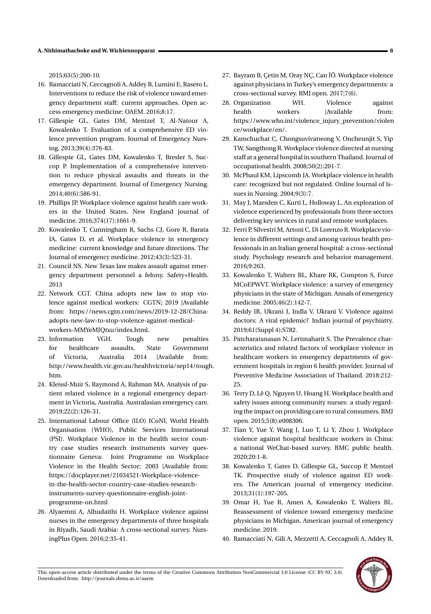2015;63(5):200-10.

- 16. Ramacciati N, Ceccagnoli A, Addey B, Lumini E, Rasero L. Interventions to reduce the risk of violence toward emergency department staff: current approaches. Open access emergency medicine: OAEM. 2016;8:17.
- 17. Gillespie GL, Gates DM, Mentzel T, Al-Natour A, Kowalenko T. Evaluation of a comprehensive ED violence prevention program. Journal of Emergency Nursing. 2013;39(4):376-83.
- 18. Gillespie GL, Gates DM, Kowalenko T, Bresler S, Succop P. Implementation of a comprehensive intervention to reduce physical assaults and threats in the emergency department. Journal of Emergency Nursing. 2014;40(6):586-91.
- 19. Phillips JP. Workplace violence against health care workers in the United States. New England journal of medicine. 2016;374(17):1661-9.
- 20. Kowalenko T, Cunningham R, Sachs CJ, Gore R, Barata IA, Gates D, et al. Workplace violence in emergency medicine: current knowledge and future directions. The Journal of emergency medicine. 2012;43(3):523-31.
- 21. Council NS. New Texas law makes assault against emergency department personnel a felony. Safety+Health. 2013
- 22. Network CGT. China adopts new law to stop violence against medical workers: CGTN; 2019 [Available from: https://news.cgtn.com/news/2019-12-28/Chinaadopts-new-law-to-stop-violence-against-medicalworkers-MMYeMJQtxu/index.html.
- 23. Information VGH. Tough new penalties for healthcare assaults. State Government of Victoria, Australia 2014 [Available from: http://www.health.vic.gov.au/healthvictoria/sep14/tough. htm.
- 24. Kleissl-Muir S, Raymond A, Rahman MA. Analysis of patient related violence in a regional emergency department in Victoria, Australia. Australasian emergency care. 2019;22(2):126-31.
- 25. International Labour Office (ILO) ICoNI, World Health Organisation (WHO), Public Services International (PSI). Workplace Violence in the health sector country case studies research instruments survey questionnaire Geneva: Joint Programme on Workplace Violence in the Health Sector; 2003 [Available from: https://docplayer.net/21034521-Workplace-violencein-the-health-sector-country-case-studies-researchinstruments-survey-questionnaire-english-jointprogramme-on.html
- 26. Alyaemni A, Alhudaithi H. Workplace violence against nurses in the emergency departments of three hospitals in Riyadh, Saudi Arabia: A cross-sectional survey. NursingPlus Open. 2016;2:35-41.
- 27. Bayram B, Çetin M, Oray NÇ, Can ˙IÖ. Workplace violence against physicians in Turkey's emergency departments: a cross-sectional survey. BMJ open. 2017;7(6).
- 28. Organization WH. Violence against health workers [Available from: https://www.who.int/violence\_injury\_prevention/violen ce/workplace/en/.
- 29. Kamchuchat C, Chongsuvivatwong V, Oncheunjit S, Yip TW, Sangthong R. Workplace violence directed at nursing staff at a general hospital in southern Thailand. Journal of occupational health. 2008;50(2):201-7.
- 30. McPhaul KM, Lipscomb JA. Workplace violence in health care: recognized but not regulated. Online Journal of Issues in Nursing. 2004;9(3):7.
- 31. May J, Marsden C, Kurti L, Holloway L. An exploration of violence experienced by professionals from three sectors delivering key services in rural and remote workplaces.
- 32. Ferri P, Silvestri M, Artoni C, Di Lorenzo R. Workplace violence in different settings and among various health professionals in an Italian general hospital: a cross-sectional study. Psychology research and behavior management. 2016;9:263.
- 33. Kowalenko T, Walters BL, Khare RK, Compton S, Force MCoEPWVT. Workplace violence: a survey of emergency physicians in the state of Michigan. Annals of emergency medicine. 2005;46(2):142-7.
- 34. Reddy IR, Ukrani J, Indla V, Ukrani V. Violence against doctors: A viral epidemic? Indian journal of psychiatry. 2019;61(Suppl 4):S782.
- 35. Patcharatanasan N, Lertmaharit S. The Prevalence characteristics and related factors of workplace violence in healthcare workers in emergency departments of government hospitals in region 6 health provider. Journal of Preventive Medicine Association of Thailand. 2018:212- 25.
- 36. Terry D, Lê Q, Nguyen U, Hoang H. Workplace health and safety issues among community nurses: a study regarding the impact on providing care to rural consumers. BMJ open. 2015;5(8):e008306.
- 37. Tian Y, Yue Y, Wang J, Luo T, Li Y, Zhou J. Workplace violence against hospital healthcare workers in China: a national WeChat-based survey. BMC public health. 2020;20:1-8.
- 38. Kowalenko T, Gates D, Gillespie GL, Succop P, Mentzel TK. Prospective study of violence against ED workers. The American journal of emergency medicine. 2013;31(1):197-205.
- 39. Omar H, Yue R, Amen A, Kowalenko T, Walters BL. Reassessment of violence toward emergency medicine physicians in Michigan. American journal of emergency medicine. 2019.
- 40. Ramacciati N, Gili A, Mezzetti A, Ceccagnoli A, Addey B,